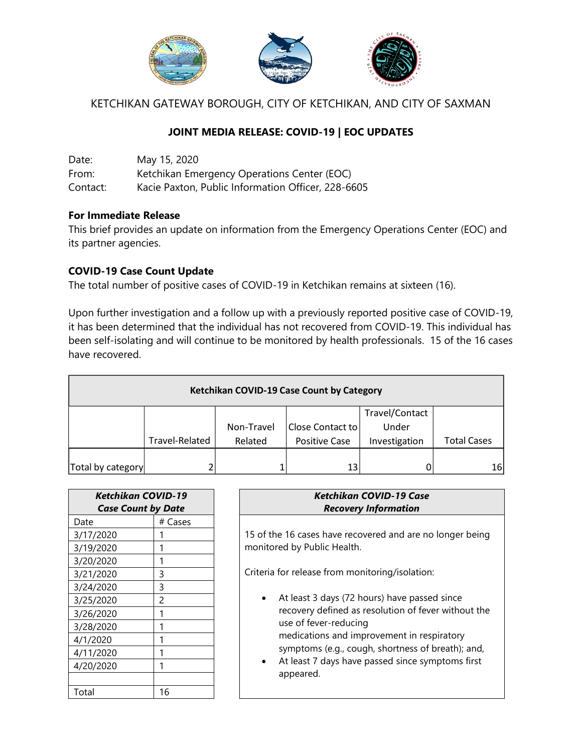

KETCHIKAN GATEWAY BOROUGH, CITY OF KETCHIKAN, AND CITY OF SAXMAN

# **JOINT MEDIA RELEASE: COVID-19 | EOC UPDATES**

Date: May 15, 2020 From: Ketchikan Emergency Operations Center (EOC) Contact: Kacie Paxton, Public Information Officer, 228-6605

## **For Immediate Release**

This brief provides an update on information from the Emergency Operations Center (EOC) and its partner agencies.

## **COVID-19 Case Count Update**

The total number of positive cases of COVID-19 in Ketchikan remains at sixteen (16).

Upon further investigation and a follow up with a previously reported positive case of COVID-19, it has been determined that the individual has not recovered from COVID-19. This individual has been self-isolating and will continue to be monitored by health professionals. 15 of the 16 cases have recovered.

| Ketchikan COVID-19 Case Count by Category |                |            |                      |                |                    |  |  |
|-------------------------------------------|----------------|------------|----------------------|----------------|--------------------|--|--|
|                                           |                |            |                      | Travel/Contact |                    |  |  |
|                                           |                | Non-Travel | Close Contact to     | Under          |                    |  |  |
|                                           | Travel-Related | Related    | <b>Positive Case</b> | Investigation  | <b>Total Cases</b> |  |  |
|                                           |                |            |                      |                |                    |  |  |
| Total by category                         |                |            | 13                   |                | 16                 |  |  |

| Ketchikan COVID-19        |         |  |
|---------------------------|---------|--|
| <b>Case Count by Date</b> |         |  |
| Date                      | # Cases |  |
| 3/17/2020                 |         |  |
| 3/19/2020                 |         |  |
| 3/20/2020                 | 1       |  |
| 3/21/2020                 | 3       |  |
| 3/24/2020                 | 3       |  |
| 3/25/2020                 | 2       |  |
| 3/26/2020                 | 1       |  |
| 3/28/2020                 |         |  |
| 4/1/2020                  | 1       |  |
| 4/11/2020                 |         |  |
| 4/20/2020                 |         |  |
|                           |         |  |
| Total                     | 16      |  |

| Ketchikan COVID-19 Case     |
|-----------------------------|
| <b>Recovery Information</b> |
|                             |

15 of the 16 cases have recovered and are no longer being monitored by Public Health.

Criteria for release from monitoring/isolation:

- At least 3 days (72 hours) have passed since recovery defined as resolution of fever without the use of fever-reducing medications and improvement in respiratory symptoms (e.g., cough, shortness of breath); and,
- At least 7 days have passed since symptoms first appeared.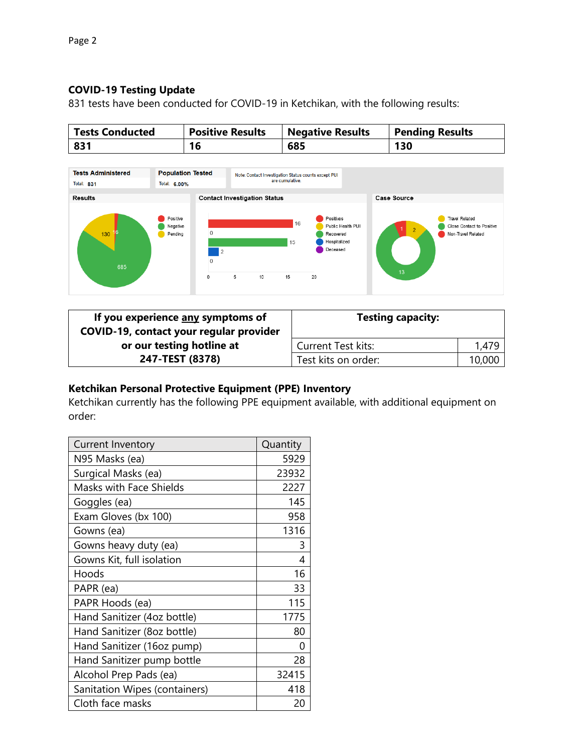# **COVID-19 Testing Update**

831 tests have been conducted for COVID-19 in Ketchikan, with the following results:

| <b>Tests Conducted</b> | <b>Positive Results</b> | <b>Negative Results</b> | <b>Pending Results</b> |
|------------------------|-------------------------|-------------------------|------------------------|
| 831                    | 16                      | 685                     | 130                    |



| If you experience any symptoms of<br>COVID-19, contact your regular provider | <b>Testing capacity:</b>  |        |
|------------------------------------------------------------------------------|---------------------------|--------|
| or our testing hotline at                                                    | <b>Current Test kits:</b> | 1,479  |
| 247-TEST (8378)                                                              | Test kits on order:       | 10,000 |

# **Ketchikan Personal Protective Equipment (PPE) Inventory**

Ketchikan currently has the following PPE equipment available, with additional equipment on order:

| <b>Current Inventory</b>       | Quantity |
|--------------------------------|----------|
| N95 Masks (ea)                 | 5929     |
| Surgical Masks (ea)            | 23932    |
| <b>Masks with Face Shields</b> | 2227     |
| Goggles (ea)                   | 145      |
| Exam Gloves (bx 100)           | 958      |
| Gowns (ea)                     | 1316     |
| Gowns heavy duty (ea)          | 3        |
| Gowns Kit, full isolation      | 4        |
| Hoods                          | 16       |
| PAPR (ea)                      | 33       |
| PAPR Hoods (ea)                | 115      |
| Hand Sanitizer (4oz bottle)    | 1775     |
| Hand Sanitizer (8oz bottle)    | 80       |
| Hand Sanitizer (16oz pump)     | 0        |
| Hand Sanitizer pump bottle     | 28       |
| Alcohol Prep Pads (ea)         | 32415    |
| Sanitation Wipes (containers)  | 418      |
| Cloth face masks               | 20       |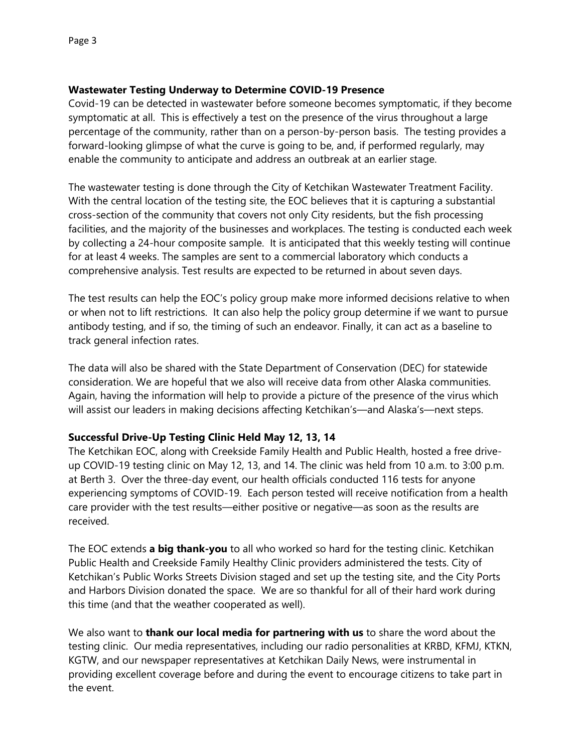## **Wastewater Testing Underway to Determine COVID-19 Presence**

Covid-19 can be detected in wastewater before someone becomes symptomatic, if they become symptomatic at all. This is effectively a test on the presence of the virus throughout a large percentage of the community, rather than on a person-by-person basis. The testing provides a forward-looking glimpse of what the curve is going to be, and, if performed regularly, may enable the community to anticipate and address an outbreak at an earlier stage.

The wastewater testing is done through the City of Ketchikan Wastewater Treatment Facility. With the central location of the testing site, the EOC believes that it is capturing a substantial cross-section of the community that covers not only City residents, but the fish processing facilities, and the majority of the businesses and workplaces. The testing is conducted each week by collecting a 24-hour composite sample. It is anticipated that this weekly testing will continue for at least 4 weeks. The samples are sent to a commercial laboratory which conducts a comprehensive analysis. Test results are expected to be returned in about seven days.

The test results can help the EOC's policy group make more informed decisions relative to when or when not to lift restrictions. It can also help the policy group determine if we want to pursue antibody testing, and if so, the timing of such an endeavor. Finally, it can act as a baseline to track general infection rates.

The data will also be shared with the State Department of Conservation (DEC) for statewide consideration. We are hopeful that we also will receive data from other Alaska communities. Again, having the information will help to provide a picture of the presence of the virus which will assist our leaders in making decisions affecting Ketchikan's—and Alaska's—next steps.

## **Successful Drive-Up Testing Clinic Held May 12, 13, 14**

The Ketchikan EOC, along with Creekside Family Health and Public Health, hosted a free driveup COVID-19 testing clinic on May 12, 13, and 14. The clinic was held from 10 a.m. to 3:00 p.m. at Berth 3. Over the three-day event, our health officials conducted 116 tests for anyone experiencing symptoms of COVID-19. Each person tested will receive notification from a health care provider with the test results—either positive or negative—as soon as the results are received.

The EOC extends **a big thank-you** to all who worked so hard for the testing clinic. Ketchikan Public Health and Creekside Family Healthy Clinic providers administered the tests. City of Ketchikan's Public Works Streets Division staged and set up the testing site, and the City Ports and Harbors Division donated the space. We are so thankful for all of their hard work during this time (and that the weather cooperated as well).

We also want to **thank our local media for partnering with us** to share the word about the testing clinic. Our media representatives, including our radio personalities at KRBD, KFMJ, KTKN, KGTW, and our newspaper representatives at Ketchikan Daily News, were instrumental in providing excellent coverage before and during the event to encourage citizens to take part in the event.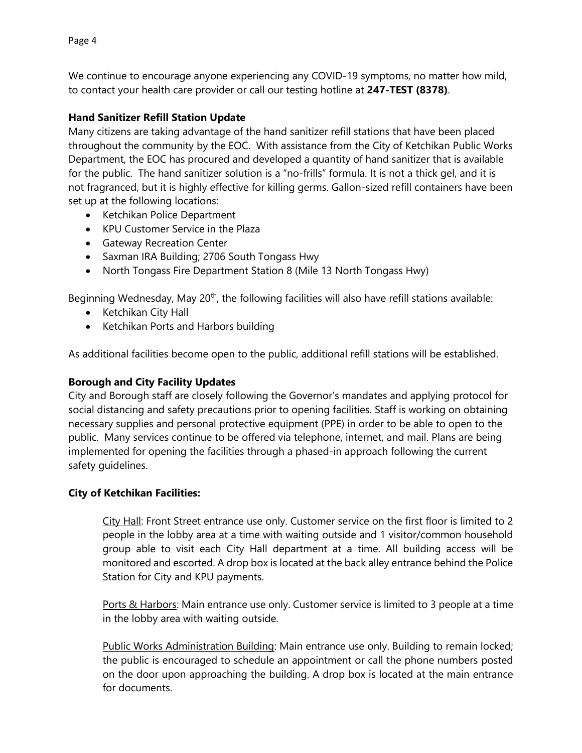We continue to encourage anyone experiencing any COVID-19 symptoms, no matter how mild, to contact your health care provider or call our testing hotline at **247-TEST (8378)**.

## **Hand Sanitizer Refill Station Update**

Many citizens are taking advantage of the hand sanitizer refill stations that have been placed throughout the community by the EOC. With assistance from the City of Ketchikan Public Works Department, the EOC has procured and developed a quantity of hand sanitizer that is available for the public. The hand sanitizer solution is a "no-frills" formula. It is not a thick gel, and it is not fragranced, but it is highly effective for killing germs. Gallon-sized refill containers have been set up at the following locations:

- Ketchikan Police Department
- KPU Customer Service in the Plaza
- **•** Gateway Recreation Center
- Saxman IRA Building; 2706 South Tongass Hwy
- North Tongass Fire Department Station 8 (Mile 13 North Tongass Hwy)

Beginning Wednesday, May  $20<sup>th</sup>$ , the following facilities will also have refill stations available:

- Ketchikan City Hall
- Ketchikan Ports and Harbors building

As additional facilities become open to the public, additional refill stations will be established.

## **Borough and City Facility Updates**

City and Borough staff are closely following the Governor's mandates and applying protocol for social distancing and safety precautions prior to opening facilities. Staff is working on obtaining necessary supplies and personal protective equipment (PPE) in order to be able to open to the public. Many services continue to be offered via telephone, internet, and mail. Plans are being implemented for opening the facilities through a phased-in approach following the current safety guidelines.

## **City of Ketchikan Facilities:**

City Hall: Front Street entrance use only. Customer service on the first floor is limited to 2 people in the lobby area at a time with waiting outside and 1 visitor/common household group able to visit each City Hall department at a time. All building access will be monitored and escorted. A drop box is located at the back alley entrance behind the Police Station for City and KPU payments.

Ports & Harbors: Main entrance use only. Customer service is limited to 3 people at a time in the lobby area with waiting outside.

Public Works Administration Building: Main entrance use only. Building to remain locked; the public is encouraged to schedule an appointment or call the phone numbers posted on the door upon approaching the building. A drop box is located at the main entrance for documents.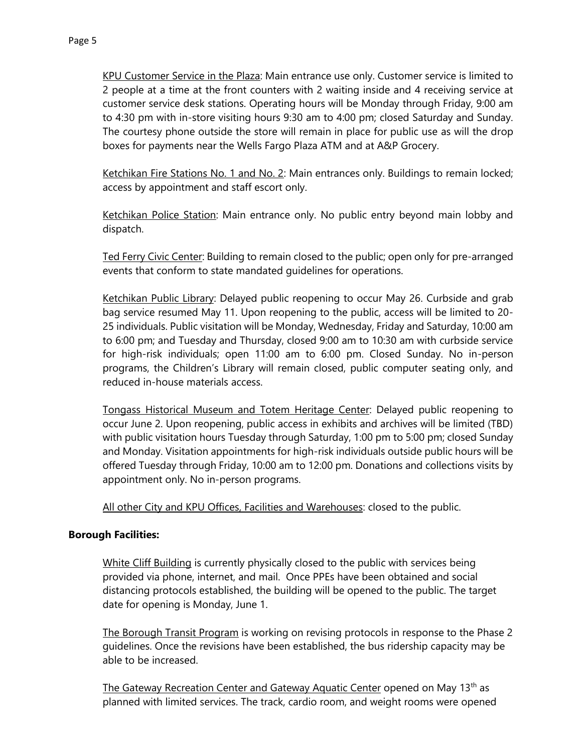KPU Customer Service in the Plaza: Main entrance use only. Customer service is limited to 2 people at a time at the front counters with 2 waiting inside and 4 receiving service at customer service desk stations. Operating hours will be Monday through Friday, 9:00 am to 4:30 pm with in-store visiting hours 9:30 am to 4:00 pm; closed Saturday and Sunday. The courtesy phone outside the store will remain in place for public use as will the drop boxes for payments near the Wells Fargo Plaza ATM and at A&P Grocery.

Ketchikan Fire Stations No. 1 and No. 2: Main entrances only. Buildings to remain locked; access by appointment and staff escort only.

Ketchikan Police Station: Main entrance only. No public entry beyond main lobby and dispatch.

Ted Ferry Civic Center: Building to remain closed to the public; open only for pre-arranged events that conform to state mandated guidelines for operations.

Ketchikan Public Library: Delayed public reopening to occur May 26. Curbside and grab bag service resumed May 11. Upon reopening to the public, access will be limited to 20- 25 individuals. Public visitation will be Monday, Wednesday, Friday and Saturday, 10:00 am to 6:00 pm; and Tuesday and Thursday, closed 9:00 am to 10:30 am with curbside service for high-risk individuals; open 11:00 am to 6:00 pm. Closed Sunday. No in-person programs, the Children's Library will remain closed, public computer seating only, and reduced in-house materials access.

Tongass Historical Museum and Totem Heritage Center: Delayed public reopening to occur June 2. Upon reopening, public access in exhibits and archives will be limited (TBD) with public visitation hours Tuesday through Saturday, 1:00 pm to 5:00 pm; closed Sunday and Monday. Visitation appointments for high-risk individuals outside public hours will be offered Tuesday through Friday, 10:00 am to 12:00 pm. Donations and collections visits by appointment only. No in-person programs.

All other City and KPU Offices, Facilities and Warehouses: closed to the public.

## **Borough Facilities:**

White Cliff Building is currently physically closed to the public with services being provided via phone, internet, and mail. Once PPEs have been obtained and social distancing protocols established, the building will be opened to the public. The target date for opening is Monday, June 1.

The Borough Transit Program is working on revising protocols in response to the Phase 2 guidelines. Once the revisions have been established, the bus ridership capacity may be able to be increased.

The Gateway Recreation Center and Gateway Aquatic Center opened on May 13<sup>th</sup> as planned with limited services. The track, cardio room, and weight rooms were opened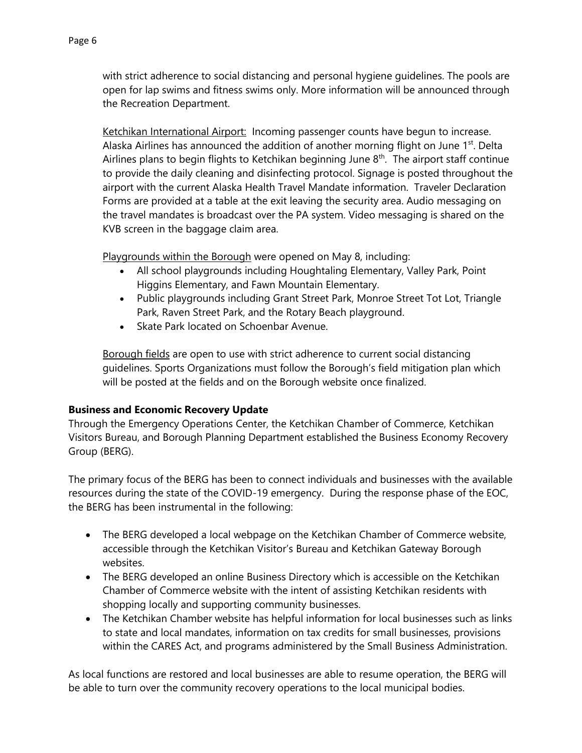with strict adherence to social distancing and personal hygiene guidelines. The pools are open for lap swims and fitness swims only. More information will be announced through the Recreation Department.

Ketchikan International Airport: Incoming passenger counts have begun to increase. Alaska Airlines has announced the addition of another morning flight on June  $1<sup>st</sup>$ . Delta Airlines plans to begin flights to Ketchikan beginning June  $8<sup>th</sup>$ . The airport staff continue to provide the daily cleaning and disinfecting protocol. Signage is posted throughout the airport with the current Alaska Health Travel Mandate information. Traveler Declaration Forms are provided at a table at the exit leaving the security area. Audio messaging on the travel mandates is broadcast over the PA system. Video messaging is shared on the KVB screen in the baggage claim area.

Playgrounds within the Borough were opened on May 8, including:

- All school playgrounds including Houghtaling Elementary, Valley Park, Point Higgins Elementary, and Fawn Mountain Elementary.
- Public playgrounds including Grant Street Park, Monroe Street Tot Lot, Triangle Park, Raven Street Park, and the Rotary Beach playground.
- Skate Park located on Schoenbar Avenue.

Borough fields are open to use with strict adherence to current social distancing guidelines. Sports Organizations must follow the Borough's field mitigation plan which will be posted at the fields and on the Borough website once finalized.

## **Business and Economic Recovery Update**

Through the Emergency Operations Center, the Ketchikan Chamber of Commerce, Ketchikan Visitors Bureau, and Borough Planning Department established the Business Economy Recovery Group (BERG).

The primary focus of the BERG has been to connect individuals and businesses with the available resources during the state of the COVID-19 emergency. During the response phase of the EOC, the BERG has been instrumental in the following:

- The BERG developed a local webpage on the Ketchikan Chamber of Commerce website, accessible through the Ketchikan Visitor's Bureau and Ketchikan Gateway Borough websites.
- The BERG developed an online Business Directory which is accessible on the Ketchikan Chamber of Commerce website with the intent of assisting Ketchikan residents with shopping locally and supporting community businesses.
- The Ketchikan Chamber website has helpful information for local businesses such as links to state and local mandates, information on tax credits for small businesses, provisions within the CARES Act, and programs administered by the Small Business Administration.

As local functions are restored and local businesses are able to resume operation, the BERG will be able to turn over the community recovery operations to the local municipal bodies.